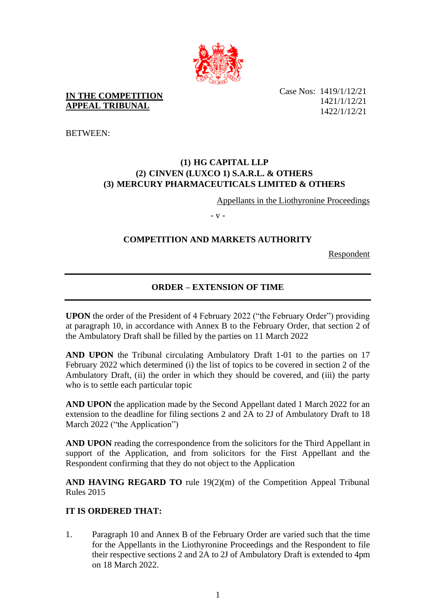

**IN THE COMPETITION APPEAL TRIBUNAL**

Case Nos: 1419/1/12/21 1421/1/12/21 1422/1/12/21

BETWEEN:

## **(1) HG CAPITAL LLP (2) CINVEN (LUXCO 1) S.A.R.L. & OTHERS (3) MERCURY PHARMACEUTICALS LIMITED & OTHERS**

Appellants in the Liothyronine Proceedings

- v -

## **COMPETITION AND MARKETS AUTHORITY**

Respondent

# **ORDER – EXTENSION OF TIME**

**UPON** the order of the President of 4 February 2022 ("the February Order") providing at paragraph 10, in accordance with Annex B to the February Order, that section 2 of the Ambulatory Draft shall be filled by the parties on 11 March 2022

**AND UPON** the Tribunal circulating Ambulatory Draft 1-01 to the parties on 17 February 2022 which determined (i) the list of topics to be covered in section 2 of the Ambulatory Draft, (ii) the order in which they should be covered, and (iii) the party who is to settle each particular topic

**AND UPON** the application made by the Second Appellant dated 1 March 2022 for an extension to the deadline for filing sections 2 and 2A to 2J of Ambulatory Draft to 18 March 2022 ("the Application")

**AND UPON** reading the correspondence from the solicitors for the Third Appellant in support of the Application, and from solicitors for the First Appellant and the Respondent confirming that they do not object to the Application

AND HAVING REGARD TO rule 19(2)(m) of the Competition Appeal Tribunal Rules 2015

#### **IT IS ORDERED THAT:**

1. Paragraph 10 and Annex B of the February Order are varied such that the time for the Appellants in the Liothyronine Proceedings and the Respondent to file their respective sections 2 and 2A to 2J of Ambulatory Draft is extended to 4pm on 18 March 2022.